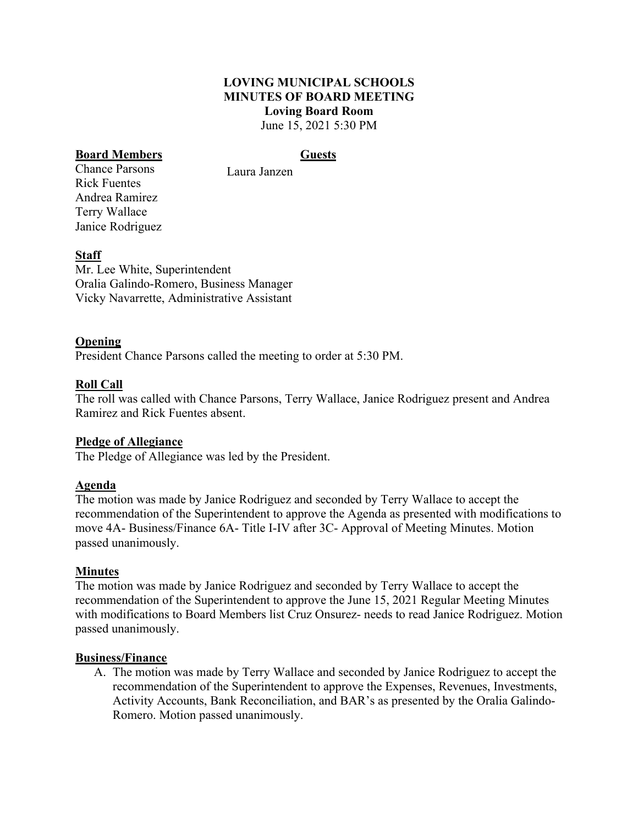#### **LOVING MUNICIPAL SCHOOLS MINUTES OF BOARD MEETING Loving Board Room** June 15, 2021 5:30 PM

## **Board Members Guests**

Chance Parsons Rick Fuentes Andrea Ramirez Terry Wallace Janice Rodriguez

Laura Janzen

## **Staff**

Mr. Lee White, Superintendent Oralia Galindo-Romero, Business Manager Vicky Navarrette, Administrative Assistant

#### **Opening**

President Chance Parsons called the meeting to order at 5:30 PM.

## **Roll Call**

The roll was called with Chance Parsons, Terry Wallace, Janice Rodriguez present and Andrea Ramirez and Rick Fuentes absent.

#### **Pledge of Allegiance**

The Pledge of Allegiance was led by the President.

#### **Agenda**

The motion was made by Janice Rodriguez and seconded by Terry Wallace to accept the recommendation of the Superintendent to approve the Agenda as presented with modifications to move 4A- Business/Finance 6A- Title I-IV after 3C- Approval of Meeting Minutes. Motion passed unanimously.

#### **Minutes**

The motion was made by Janice Rodriguez and seconded by Terry Wallace to accept the recommendation of the Superintendent to approve the June 15, 2021 Regular Meeting Minutes with modifications to Board Members list Cruz Onsurez- needs to read Janice Rodriguez. Motion passed unanimously.

#### **Business/Finance**

A. The motion was made by Terry Wallace and seconded by Janice Rodriguez to accept the recommendation of the Superintendent to approve the Expenses, Revenues, Investments, Activity Accounts, Bank Reconciliation, and BAR's as presented by the Oralia Galindo-Romero. Motion passed unanimously.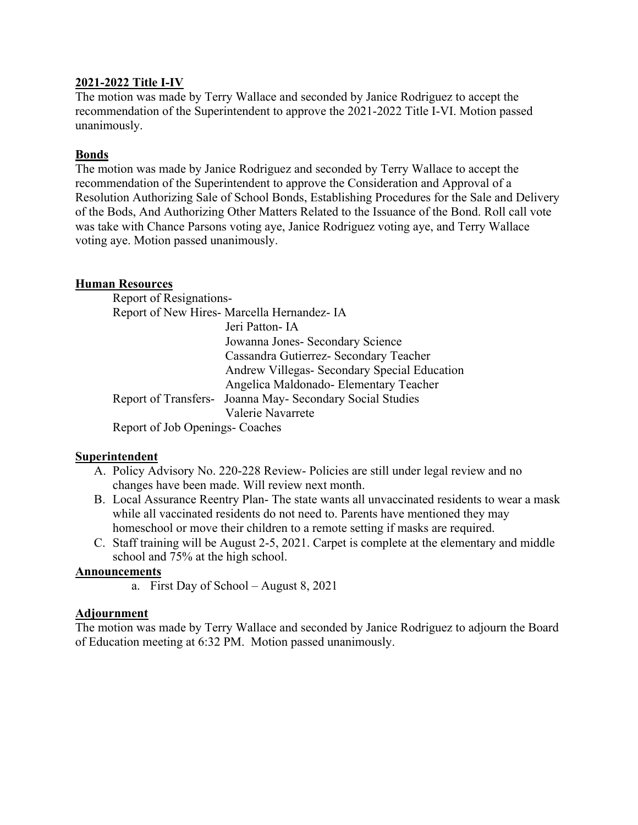#### **2021-2022 Title I-IV**

The motion was made by Terry Wallace and seconded by Janice Rodriguez to accept the recommendation of the Superintendent to approve the 2021-2022 Title I-VI. Motion passed unanimously.

# **Bonds**

The motion was made by Janice Rodriguez and seconded by Terry Wallace to accept the recommendation of the Superintendent to approve the Consideration and Approval of a Resolution Authorizing Sale of School Bonds, Establishing Procedures for the Sale and Delivery of the Bods, And Authorizing Other Matters Related to the Issuance of the Bond. Roll call vote was take with Chance Parsons voting aye, Janice Rodriguez voting aye, and Terry Wallace voting aye. Motion passed unanimously.

## **Human Resources**

Report of Resignations-Report of New Hires- Marcella Hernandez- IA Jeri Patton- IA Jowanna Jones- Secondary Science Cassandra Gutierrez- Secondary Teacher Andrew Villegas- Secondary Special Education Angelica Maldonado- Elementary Teacher Report of Transfers- Joanna May- Secondary Social Studies Valerie Navarrete

Report of Job Openings- Coaches

## **Superintendent**

- A. Policy Advisory No. 220-228 Review- Policies are still under legal review and no changes have been made. Will review next month.
- B. Local Assurance Reentry Plan- The state wants all unvaccinated residents to wear a mask while all vaccinated residents do not need to. Parents have mentioned they may homeschool or move their children to a remote setting if masks are required.
- C. Staff training will be August 2-5, 2021. Carpet is complete at the elementary and middle school and 75% at the high school.

## **Announcements**

a. First Day of School – August 8, 2021

## **Adjournment**

The motion was made by Terry Wallace and seconded by Janice Rodriguez to adjourn the Board of Education meeting at 6:32 PM. Motion passed unanimously.